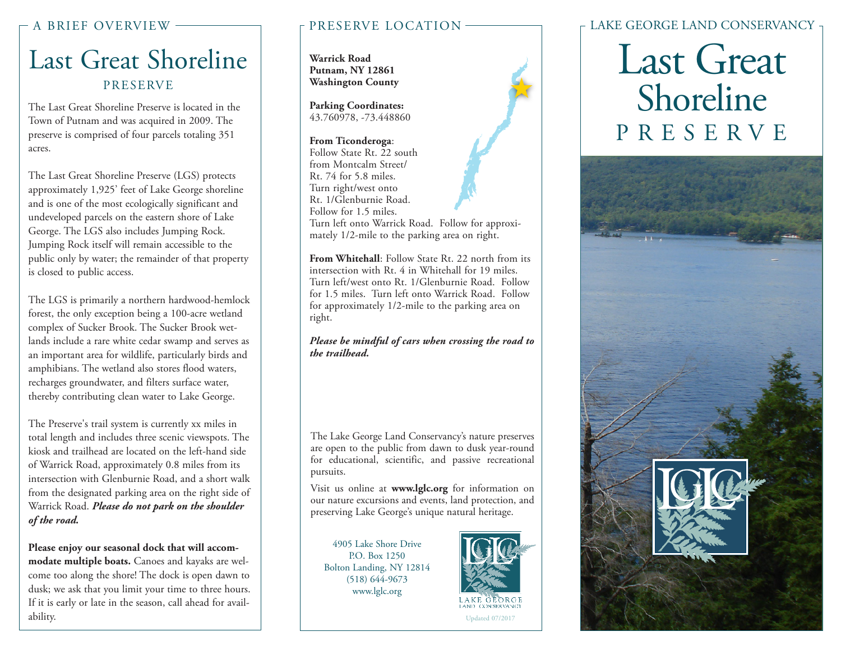# Last Great Shoreline PRESERVE

The Last Great Shoreline Preserve is located in the Town of Putnam and was acquired in 2009. The preserve is comprised of four parcels totaling 351 acres.

The Last Great Shoreline Preserve (LGS) protects approximately 1,925' feet of Lake George shoreline and is one of the most ecologically significant and undeveloped parcels on the eastern shore of Lake George. The LGS also includes Jumping Rock. Jumping Rock itself will remain accessible to the public only by water; the remainder of that property is closed to public access.

The LGS is primarily a northern hardwood-hemlock forest, the only exception being a 100-acre wetland complex of Sucker Brook. The Sucker Brook wetlands include a rare white cedar swamp and serves as an important area for wildlife, particularly birds and amphibians. The wetland also stores flood waters, recharges groundwater, and filters surface water, thereby contributing clean water to Lake George.

The Preserve's trail system is currently xx miles in total length and includes three scenic viewspots. The kiosk and trailhead are located on the left-hand side of Warrick Road, approximately 0.8 miles from its intersection with Glenburnie Road, and a short walk from the designated parking area on the right side of Warrick Road. *Please do not park on the shoulder of the road.*

**Please enjoy our seasonal dock that will accommodate multiple boats.** Canoes and kayaks are welcome too along the shore! The dock is open dawn to dusk; we ask that you limit your time to three hours. If it is early or late in the season, call ahead for availability.

**Warrick Road Putnam, NY 12861 Washington County**

**Parking Coordinates:** 43.760978, -73.448860

### **From Ticonderoga**:

Follow State Rt. 22 south from Montcalm Street/ Rt. 74 for 5.8 miles. Turn right/west onto Rt. 1/Glenburnie Road. Follow for 1.5 miles.



**From Whitehall**: Follow State Rt. 22 north from its intersection with Rt. 4 in Whitehall for 19 miles. Turn left/west onto Rt. 1/Glenburnie Road. Follow for 1.5 miles. Turn left onto Warrick Road. Follow for approximately 1/2-mile to the parking area on right.

*Please be mindful of cars when crossing the road to the trailhead.*

The Lake George Land Conservancy's nature preserves are open to the public from dawn to dusk year-round for educational, scientific, and passive recreational pursuits.

Visit us online at **www.lglc.org** for information on our nature excursions and events, land protection, and preserving Lake George's unique natural heritage.

4905 Lake Shore Drive P.O. Box 1250 Bolton Landing, NY 12814 (518) 644-9673 www.lglc.org



大

### A BRIEF OVERVIEW PRESERVE LOCATION LAKE GEORGE LAND CONSERVANCY

# Last Great Shoreline PRESERVE